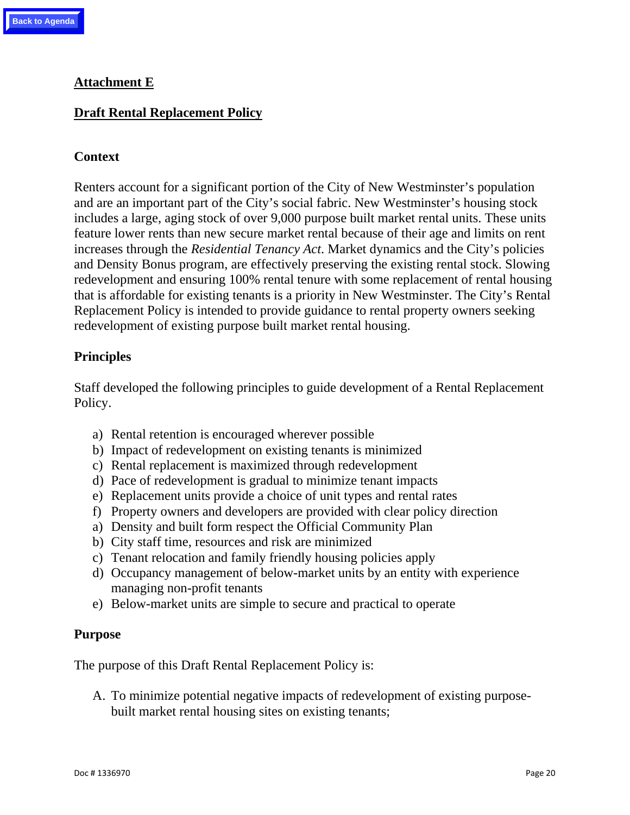# **Attachment E**

### **Draft Rental Replacement Policy**

#### **Context**

Renters account for a significant portion of the City of New Westminster's population and are an important part of the City's social fabric. New Westminster's housing stock includes a large, aging stock of over 9,000 purpose built market rental units. These units feature lower rents than new secure market rental because of their age and limits on rent increases through the *Residential Tenancy Act*. Market dynamics and the City's policies and Density Bonus program, are effectively preserving the existing rental stock. Slowing redevelopment and ensuring 100% rental tenure with some replacement of rental housing that is affordable for existing tenants is a priority in New Westminster. The City's Rental Replacement Policy is intended to provide guidance to rental property owners seeking redevelopment of existing purpose built market rental housing.

#### **Principles**

Staff developed the following principles to guide development of a Rental Replacement Policy.

- a) Rental retention is encouraged wherever possible
- b) Impact of redevelopment on existing tenants is minimized
- c) Rental replacement is maximized through redevelopment
- d) Pace of redevelopment is gradual to minimize tenant impacts
- e) Replacement units provide a choice of unit types and rental rates
- f) Property owners and developers are provided with clear policy direction
- a) Density and built form respect the Official Community Plan
- b) City staff time, resources and risk are minimized
- c) Tenant relocation and family friendly housing policies apply
- d) Occupancy management of below-market units by an entity with experience managing non-profit tenants
- e) Below-market units are simple to secure and practical to operate

#### **Purpose**

The purpose of this Draft Rental Replacement Policy is:

A. To minimize potential negative impacts of redevelopment of existing purposebuilt market rental housing sites on existing tenants;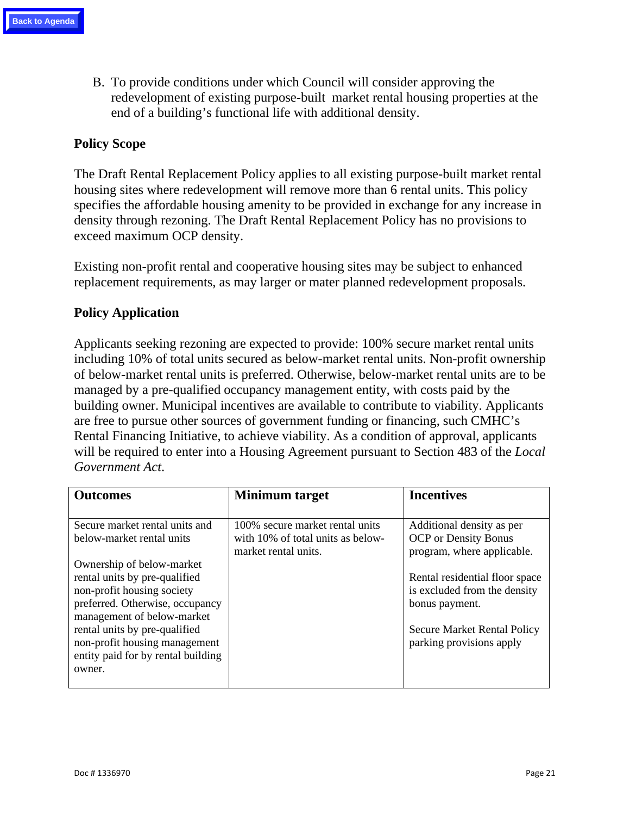B. To provide conditions under which Council will consider approving the redevelopment of existing purpose-built market rental housing properties at the end of a building's functional life with additional density.

# **Policy Scope**

The Draft Rental Replacement Policy applies to all existing purpose-built market rental housing sites where redevelopment will remove more than 6 rental units. This policy specifies the affordable housing amenity to be provided in exchange for any increase in density through rezoning. The Draft Rental Replacement Policy has no provisions to exceed maximum OCP density.

Existing non-profit rental and cooperative housing sites may be subject to enhanced replacement requirements, as may larger or mater planned redevelopment proposals.

### **Policy Application**

Applicants seeking rezoning are expected to provide: 100% secure market rental units including 10% of total units secured as below-market rental units. Non-profit ownership of below-market rental units is preferred. Otherwise, below-market rental units are to be managed by a pre-qualified occupancy management entity, with costs paid by the building owner. Municipal incentives are available to contribute to viability. Applicants are free to pursue other sources of government funding or financing, such CMHC's Rental Financing Initiative, to achieve viability. As a condition of approval, applicants will be required to enter into a Housing Agreement pursuant to Section 483 of the *Local Government Act*.

| <b>Outcomes</b>                    | Minimum target                    | <b>Incentives</b>                  |
|------------------------------------|-----------------------------------|------------------------------------|
|                                    |                                   |                                    |
| Secure market rental units and     | 100% secure market rental units   | Additional density as per          |
| below-market rental units          | with 10% of total units as below- | <b>OCP</b> or Density Bonus        |
|                                    | market rental units.              | program, where applicable.         |
| Ownership of below-market          |                                   |                                    |
| rental units by pre-qualified      |                                   | Rental residential floor space     |
| non-profit housing society         |                                   | is excluded from the density       |
| preferred. Otherwise, occupancy    |                                   | bonus payment.                     |
| management of below-market         |                                   |                                    |
| rental units by pre-qualified      |                                   | <b>Secure Market Rental Policy</b> |
| non-profit housing management      |                                   | parking provisions apply           |
| entity paid for by rental building |                                   |                                    |
| owner.                             |                                   |                                    |
|                                    |                                   |                                    |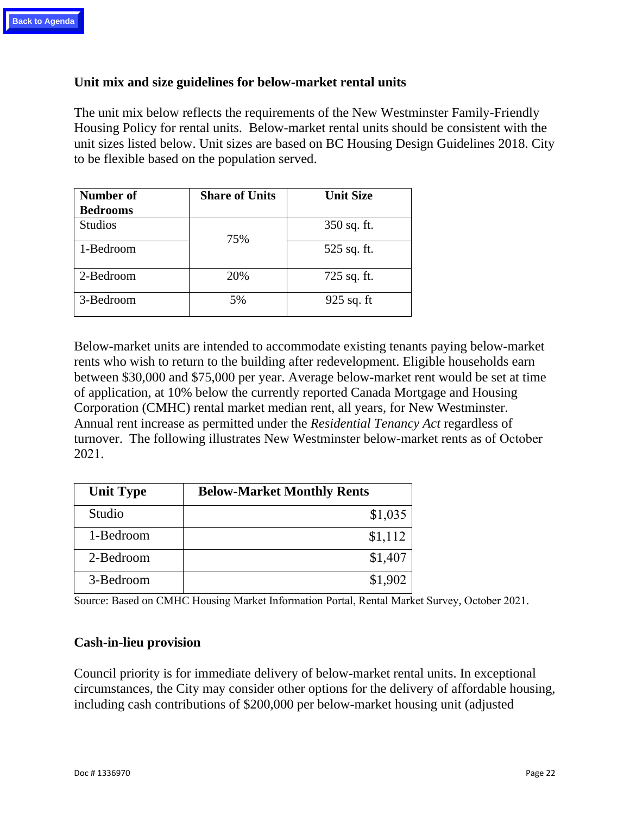### **Unit mix and size guidelines for below-market rental units**

The unit mix below reflects the requirements of the New Westminster Family-Friendly Housing Policy for rental units. Below-market rental units should be consistent with the unit sizes listed below. Unit sizes are based on BC Housing Design Guidelines 2018. City to be flexible based on the population served.

| Number of       | <b>Share of Units</b> | <b>Unit Size</b> |
|-----------------|-----------------------|------------------|
| <b>Bedrooms</b> |                       |                  |
| <b>Studios</b>  | 75%                   | $350$ sq. ft.    |
| 1-Bedroom       |                       | 525 sq. ft.      |
| 2-Bedroom       | 20%                   | 725 sq. ft.      |
| 3-Bedroom       | 5%                    | $925$ sq. ft     |

Below-market units are intended to accommodate existing tenants paying below-market rents who wish to return to the building after redevelopment. Eligible households earn between \$30,000 and \$75,000 per year. Average below-market rent would be set at time of application, at 10% below the currently reported Canada Mortgage and Housing Corporation (CMHC) rental market median rent, all years, for New Westminster. Annual rent increase as permitted under the *Residential Tenancy Act* regardless of turnover. The following illustrates New Westminster below-market rents as of October 2021.

| <b>Unit Type</b> | <b>Below-Market Monthly Rents</b> |
|------------------|-----------------------------------|
| Studio           | \$1,035                           |
| 1-Bedroom        | \$1,112                           |
| 2-Bedroom        | \$1,407                           |
| 3-Bedroom        | \$1,902                           |

Source: Based on CMHC Housing Market Information Portal, Rental Market Survey, October 2021.

### **Cash-in**-**lieu provision**

Council priority is for immediate delivery of below-market rental units. In exceptional circumstances, the City may consider other options for the delivery of affordable housing, including cash contributions of \$200,000 per below-market housing unit (adjusted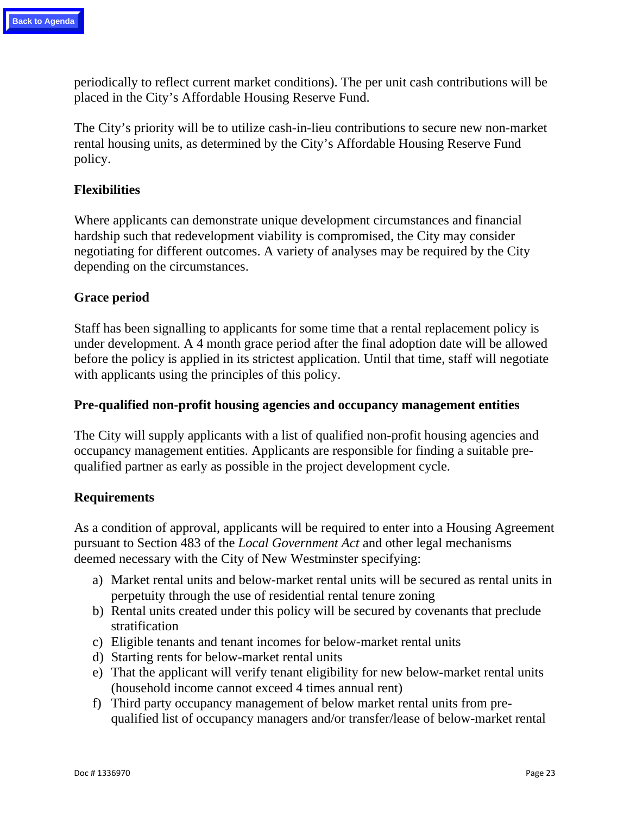periodically to reflect current market conditions). The per unit cash contributions will be placed in the City's Affordable Housing Reserve Fund.

The City's priority will be to utilize cash-in-lieu contributions to secure new non-market rental housing units, as determined by the City's Affordable Housing Reserve Fund policy.

## **Flexibilities**

Where applicants can demonstrate unique development circumstances and financial hardship such that redevelopment viability is compromised, the City may consider negotiating for different outcomes. A variety of analyses may be required by the City depending on the circumstances.

# **Grace period**

Staff has been signalling to applicants for some time that a rental replacement policy is under development. A 4 month grace period after the final adoption date will be allowed before the policy is applied in its strictest application. Until that time, staff will negotiate with applicants using the principles of this policy.

### **Pre-qualified non-profit housing agencies and occupancy management entities**

The City will supply applicants with a list of qualified non-profit housing agencies and occupancy management entities. Applicants are responsible for finding a suitable prequalified partner as early as possible in the project development cycle.

### **Requirements**

As a condition of approval, applicants will be required to enter into a Housing Agreement pursuant to Section 483 of the *Local Government Act* and other legal mechanisms deemed necessary with the City of New Westminster specifying:

- a) Market rental units and below-market rental units will be secured as rental units in perpetuity through the use of residential rental tenure zoning
- b) Rental units created under this policy will be secured by covenants that preclude stratification
- c) Eligible tenants and tenant incomes for below-market rental units
- d) Starting rents for below-market rental units
- e) That the applicant will verify tenant eligibility for new below-market rental units (household income cannot exceed 4 times annual rent)
- f) Third party occupancy management of below market rental units from prequalified list of occupancy managers and/or transfer/lease of below-market rental